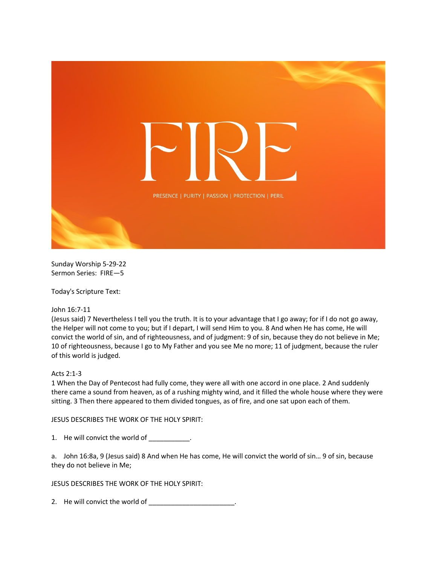

Sunday Worship 5-29-22 Sermon Series: FIRE—5

Today's Scripture Text:

John 16:7-11

(Jesus said) 7 Nevertheless I tell you the truth. It is to your advantage that I go away; for if I do not go away, the Helper will not come to you; but if I depart, I will send Him to you. 8 And when He has come, He will convict the world of sin, and of righteousness, and of judgment: 9 of sin, because they do not believe in Me; 10 of righteousness, because I go to My Father and you see Me no more; 11 of judgment, because the ruler of this world is judged.

## Acts 2:1-3

1 When the Day of Pentecost had fully come, they were all with one accord in one place. 2 And suddenly there came a sound from heaven, as of a rushing mighty wind, and it filled the whole house where they were sitting. 3 Then there appeared to them divided tongues, as of fire, and one sat upon each of them.

JESUS DESCRIBES THE WORK OF THE HOLY SPIRIT:

1. He will convict the world of \_\_\_\_\_\_\_\_\_\_.

a. John 16:8a, 9 (Jesus said) 8 And when He has come, He will convict the world of sin… 9 of sin, because they do not believe in Me;

JESUS DESCRIBES THE WORK OF THE HOLY SPIRIT:

2. He will convict the world of \_\_\_\_\_\_\_\_\_\_\_\_\_\_\_\_\_\_\_\_\_\_\_\_.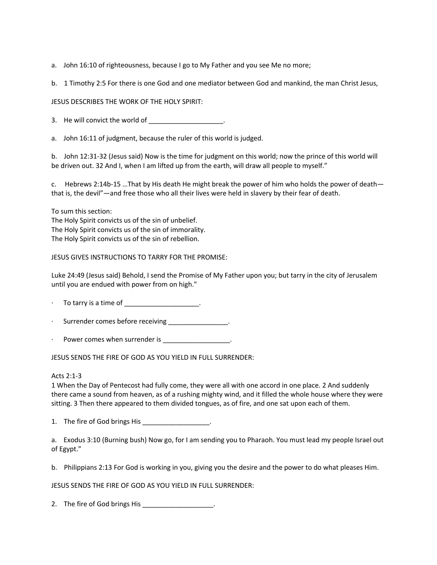- a. John 16:10 of righteousness, because I go to My Father and you see Me no more;
- b. 1 Timothy 2:5 For there is one God and one mediator between God and mankind, the man Christ Jesus,

JESUS DESCRIBES THE WORK OF THE HOLY SPIRIT:

3. He will convict the world of  $\frac{1}{2}$  =  $\frac{1}{2}$ 

a. John 16:11 of judgment, because the ruler of this world is judged.

b. John 12:31-32 (Jesus said) Now is the time for judgment on this world; now the prince of this world will be driven out. 32 And I, when I am lifted up from the earth, will draw all people to myself."

c. Hebrews 2:14b-15 …That by His death He might break the power of him who holds the power of death that is, the devil"—and free those who all their lives were held in slavery by their fear of death.

To sum this section:

The Holy Spirit convicts us of the sin of unbelief. The Holy Spirit convicts us of the sin of immorality. The Holy Spirit convicts us of the sin of rebellion.

JESUS GIVES INSTRUCTIONS TO TARRY FOR THE PROMISE:

Luke 24:49 (Jesus said) Behold, I send the Promise of My Father upon you; but tarry in the city of Jerusalem until you are endued with power from on high."

To tarry is a time of \_\_\_\_\_\_\_\_\_\_\_\_\_\_\_\_\_\_\_\_.

Surrender comes before receiving \_\_\_\_\_\_\_\_\_\_\_\_\_\_\_.

Power comes when surrender is \_\_\_\_\_\_\_\_\_\_\_\_\_\_\_\_\_\_.

JESUS SENDS THE FIRE OF GOD AS YOU YIELD IN FULL SURRENDER:

Acts 2:1-3

1 When the Day of Pentecost had fully come, they were all with one accord in one place. 2 And suddenly there came a sound from heaven, as of a rushing mighty wind, and it filled the whole house where they were sitting. 3 Then there appeared to them divided tongues, as of fire, and one sat upon each of them.

1. The fire of God brings His \_\_\_\_\_\_\_\_\_\_\_\_\_\_\_\_\_\_\_.

a. Exodus 3:10 (Burning bush) Now go, for I am sending you to Pharaoh. You must lead my people Israel out of Egypt."

b. Philippians 2:13 For God is working in you, giving you the desire and the power to do what pleases Him.

JESUS SENDS THE FIRE OF GOD AS YOU YIELD IN FULL SURRENDER:

2. The fire of God brings His \_\_\_\_\_\_\_\_\_\_\_\_\_\_\_\_\_\_\_\_.